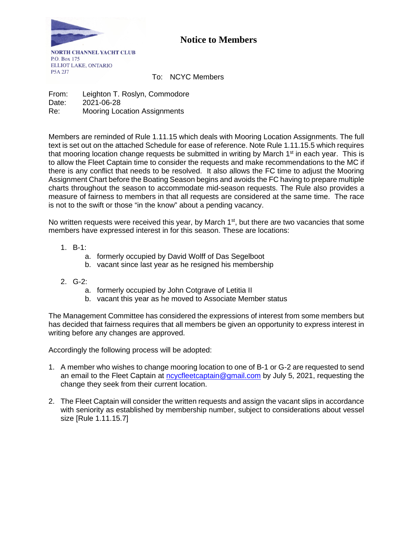

## **Notice to Members**

**NORTH CHANNEL YACHT CLUB** P.O. Box 175 **ELLIOT LAKE, ONTARIO** P5A 2J7

To: NCYC Members

From: Leighton T. Roslyn, Commodore Date: 2021-06-28 Re: Mooring Location Assignments

Members are reminded of Rule 1.11.15 which deals with Mooring Location Assignments. The full text is set out on the attached Schedule for ease of reference. Note Rule 1.11.15.5 which requires that mooring location change requests be submitted in writing by March  $1<sup>st</sup>$  in each year. This is to allow the Fleet Captain time to consider the requests and make recommendations to the MC if there is any conflict that needs to be resolved. It also allows the FC time to adjust the Mooring Assignment Chart before the Boating Season begins and avoids the FC having to prepare multiple charts throughout the season to accommodate mid-season requests. The Rule also provides a measure of fairness to members in that all requests are considered at the same time. The race is not to the swift or those "in the know" about a pending vacancy.

No written requests were received this year, by March  $1<sup>st</sup>$ , but there are two vacancies that some members have expressed interest in for this season. These are locations:

- 1. B-1:
	- a. formerly occupied by David Wolff of Das Segelboot
	- b. vacant since last year as he resigned his membership
- 2. G-2:
	- a. formerly occupied by John Cotgrave of Letitia II
	- b. vacant this year as he moved to Associate Member status

The Management Committee has considered the expressions of interest from some members but has decided that fairness requires that all members be given an opportunity to express interest in writing before any changes are approved.

Accordingly the following process will be adopted:

- 1. A member who wishes to change mooring location to one of B-1 or G-2 are requested to send an email to the Fleet Captain at [ncycfleetcaptain@gmail.com](mailto:ncycfleetcaptain@gmail.com) by July 5, 2021, requesting the change they seek from their current location.
- 2. The Fleet Captain will consider the written requests and assign the vacant slips in accordance with seniority as established by membership number, subject to considerations about vessel size [Rule 1.11.15.7]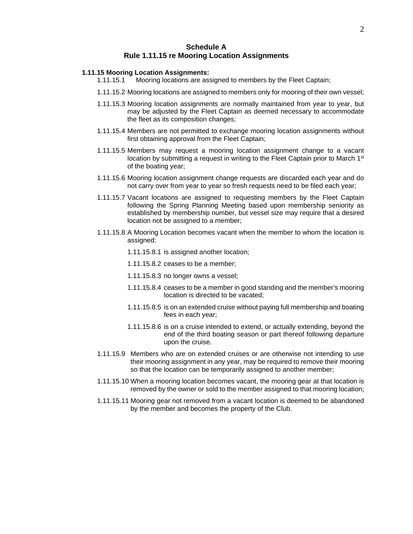## **Schedule A Rule 1.11.15 re Mooring Location Assignments**

## **1.11.15 Mooring Location Assignments:**

- 1.11.15.1 Mooring locations are assigned to members by the Fleet Captain;
- 1.11.15.2 Mooring locations are assigned to members only for mooring of their own vessel;
- 1.11.15.3 Mooring location assignments are normally maintained from year to year, but may be adjusted by the Fleet Captain as deemed necessary to accommodate the fleet as its composition changes;
- 1.11.15.4 Members are not permitted to exchange mooring location assignments without first obtaining approval from the Fleet Captain;
- 1.11.15.5 Members may request a mooring location assignment change to a vacant location by submitting a request in writing to the Fleet Captain prior to March  $1<sup>st</sup>$ of the boating year;
- 1.11.15.6 Mooring location assignment change requests are discarded each year and do not carry over from year to year so fresh requests need to be filed each year;
- 1.11.15.7 Vacant locations are assigned to requesting members by the Fleet Captain following the Spring Planning Meeting based upon membership seniority as established by membership number, but vessel size may require that a desired location not be assigned to a member;
- 1.11.15.8 A Mooring Location becomes vacant when the member to whom the location is assigned:
	- 1.11.15.8.1 is assigned another location;
	- 1.11.15.8.2 ceases to be a member;
	- 1.11.15.8.3 no longer owns a vessel;
	- 1.11.15.8.4 ceases to be a member in good standing and the member's mooring location is directed to be vacated;
	- 1.11.15.8.5 is on an extended cruise without paying full membership and boating fees in each year;
	- 1.11.15.8.6 is on a cruise intended to extend, or actually extending, beyond the end of the third boating season or part thereof following departure upon the cruise.
- 1.11.15.9 Members who are on extended cruises or are otherwise not intending to use their mooring assignment in any year, may be required to remove their mooring so that the location can be temporarily assigned to another member;
- 1.11.15.10 When a mooring location becomes vacant, the mooring gear at that location is removed by the owner or sold to the member assigned to that mooring location;
- 1.11.15.11 Mooring gear not removed from a vacant location is deemed to be abandoned by the member and becomes the property of the Club.